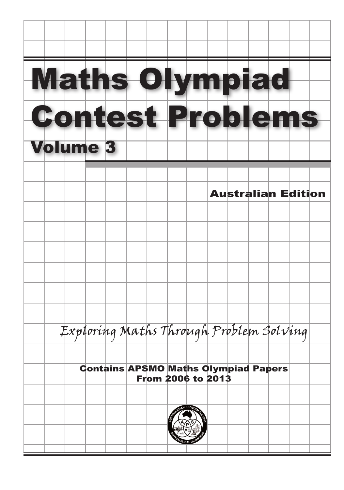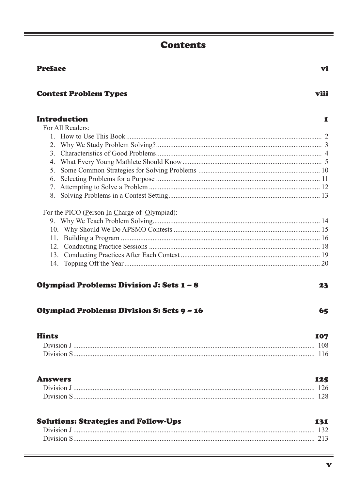# **Contents**

| <b>Preface</b>                               | VĬ   |
|----------------------------------------------|------|
| <b>Contest Problem Types</b>                 | viii |
| <b>Introduction</b>                          | 1    |
| For All Readers:                             |      |
|                                              |      |
|                                              |      |
|                                              |      |
|                                              |      |
|                                              |      |
| 6.                                           |      |
|                                              |      |
|                                              |      |
|                                              |      |
| For the PICO (Person In Charge of Olympiad): |      |
|                                              |      |
|                                              |      |
|                                              |      |
|                                              |      |
|                                              |      |
|                                              |      |
|                                              |      |
| Olympiad Problems: Division J: Sets 1 - 8    | 23   |
|                                              |      |
|                                              |      |
| Olympiad Problems: Division S: Sets 9 - 16   | 65   |
|                                              |      |
|                                              |      |
| <b>Hints</b>                                 | 107  |
|                                              |      |
|                                              |      |
|                                              |      |
|                                              |      |
| Answers                                      | 125  |
|                                              |      |
|                                              |      |
|                                              |      |
|                                              |      |
| <b>Solutions: Strategies and Follow-Ups</b>  | 131  |
|                                              |      |
|                                              |      |
|                                              |      |
|                                              |      |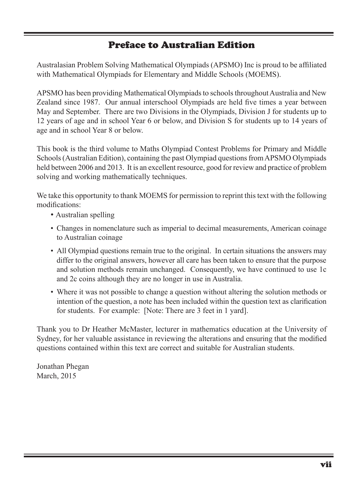# Preface to Australian Edition

Australasian Problem Solving Mathematical Olympiads (APSMO) Inc is proud to be affiliated with Mathematical Olympiads for Elementary and Middle Schools (MOEMS).

APSMO has been providing Mathematical Olympiads to schools throughout Australia and New Zealand since 1987. Our annual interschool Olympiads are held five times a year between May and September. There are two Divisions in the Olympiads, Division J for students up to 12 years of age and in school Year 6 or below, and Division S for students up to 14 years of age and in school Year 8 or below.

This book is the third volume to Maths Olympiad Contest Problems for Primary and Middle Schools (Australian Edition), containing the past Olympiad questions from APSMO Olympiads held between 2006 and 2013. It is an excellent resource, good for review and practice of problem solving and working mathematically techniques.

We take this opportunity to thank MOEMS for permission to reprint this text with the following modifications:

- Australian spelling
- Changes in nomenclature such as imperial to decimal measurements, American coinage to Australian coinage
- All Olympiad questions remain true to the original. In certain situations the answers may differ to the original answers, however all care has been taken to ensure that the purpose and solution methods remain unchanged. Consequently, we have continued to use 1c and 2c coins although they are no longer in use in Australia.
- Where it was not possible to change a question without altering the solution methods or intention of the question, a note has been included within the question text as clarification for students. For example: [Note: There are 3 feet in 1 yard].

Thank you to Dr Heather McMaster, lecturer in mathematics education at the University of Sydney, for her valuable assistance in reviewing the alterations and ensuring that the modified questions contained within this text are correct and suitable for Australian students.

Jonathan Phegan March, 2015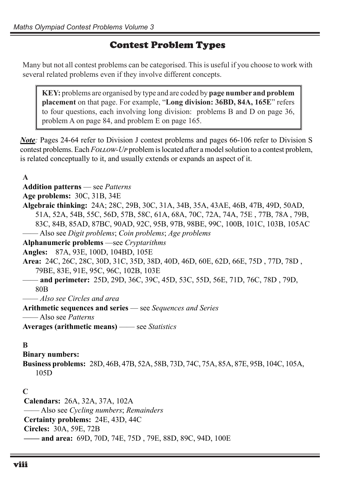# Contest Problem Types

Many but not all contest problems can be categorised. This is useful if you choose to work with several related problems even if they involve different concepts.

**KEY:** problems are organised by type and are coded by **page number and problem placement** on that page. For example, "**Long division: 36BD, 84A, 165E**" refers to four questions, each involving long division: problems B and D on page 36, problem A on page 84, and problem E on page 165.

*Note*: Pages 24-64 refer to Division J contest problems and pages 66-106 refer to Division S contest problems. Each *Follow-Up* problem is located after a model solution to a contest problem, is related conceptually to it, and usually extends or expands an aspect of it.

**A**

**Addition patterns** — see *Patterns*

**Age problems:** 30C, 31B, 34E

**Algebraic thinking:** 24A; 28C, 29B, 30C, 31A, 34B, 35A, 43AE, 46B, 47B, 49D, 50AD, 51A, 52A, 54B, 55C, 56D, 57B, 58C, 61A, 68A, 70C, 72A, 74A, 75E , 77B, 78A , 79B, 83C, 84B, 85AD, 87BC, 90AD, 92C, 95B, 97B, 98BE, 99C, 100B, 101C, 103B, 105AC

—— Also see *Digit problems*; *Coin problems*; *Age problems*

**Alphanumeric problems** —see *Cryptarithms*

**Angles:** 87A, 93E, 100D, 104BD, 105E

- **Area:** 24C, 26C, 28C, 30D, 31C, 35D, 38D, 40D, 46D, 60E, 62D, 66E, 75D , 77D, 78D , 79BE, 83E, 91E, 95C, 96C, 102B, 103E
- —— **and perimeter:** 25D, 29D, 36C, 39C, 45D, 53C, 55D, 56E, 71D, 76C, 78D , 79D, 80B

—— *Also see Circles and area*

**Arithmetic sequences and series** — see *Sequences and Series*

—— Also see *Patterns*

**Averages (arithmetic means)** —— see *Statistics*

### **B**

**Binary numbers:**

**Business problems:** 28D, 46B, 47B, 52A, 58B, 73D, 74C, 75A, 85A, 87E, 95B, 104C, 105A, 105D

## **C**

**Calendars:** 26A, 32A, 37A, 102A —— Also see *Cycling numbers*; *Remainders* **Certainty problems:** 24E, 43D, 44C **Circles:** 30A, 59E, 72B **—— and area:** 69D, 70D, 74E, 75D , 79E, 88D, 89C, 94D, 100E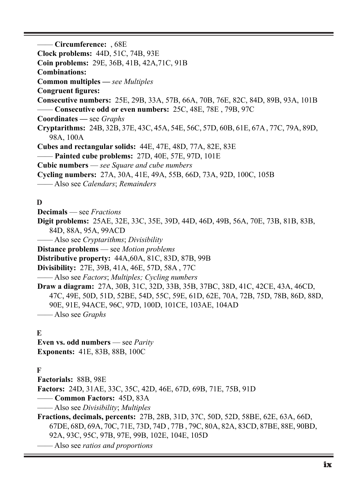—— **Circumference:** , 68E **Clock problems:** 44D, 51C, 74B, 93E **Coin problems:** 29E, 36B, 41B, 42A,71C, 91B **Combinations: Common multiples —** *see Multiples*  **Congruent figures: Consecutive numbers:** 25E, 29B, 33A, 57B, 66A, 70B, 76E, 82C, 84D, 89B, 93A, 101B —— **Consecutive odd or even numbers:** 25C, 48E, 78E , 79B, 97C **Coordinates —** see *Graphs* **Cryptarithms:** 24B, 32B, 37E, 43C, 45A, 54E, 56C, 57D, 60B, 61E, 67A , 77C, 79A, 89D, 98A, 100A **Cubes and rectangular solids:** 44E, 47E, 48D, 77A, 82E, 83E —— **Painted cube problems:** 27D, 40E, 57E, 97D, 101E **Cubic numbers** — *see Square and cube numbers* **Cycling numbers:** 27A, 30A, 41E, 49A, 55B, 66D, 73A, 92D, 100C, 105B —— Also see *Calendars*; *Remainders*

### **D**

**Decimals** — see *Fractions*

**Digit problems:** 25AE, 32E, 33C, 35E, 39D, 44D, 46D, 49B, 56A, 70E, 73B, 81B, 83B, 84D, 88A, 95A, 99ACD

—— Also see *Cryptarithms*; *Divisibility* 

**Distance problems** — see *Motion problems*

**Distributive property:** 44A,60A, 81C, 83D, 87B, 99B

**Divisibility:** 27E, 39B, 41A, 46E, 57D, 58A , 77C

—— Also see *Factors*; *Multiples; Cycling numbers*

**Draw a diagram:** 27A, 30B, 31C, 32D, 33B, 35B, 37BC, 38D, 41C, 42CE, 43A, 46CD, 47C, 49E, 50D, 51D, 52BE, 54D, 55C, 59E, 61D, 62E, 70A, 72B, 75D, 78B, 86D, 88D, 90E, 91E, 94ACE, 96C, 97D, 100D, 101CE, 103AE, 104AD —— Also see *Graphs*

### **E**

**Even vs. odd numbers** — see *Parity*

**Exponents:** 41E, 83B, 88B, 100C

## **F**

**Factorials:** 88B, 98E

**Factors:** 24D, 31AE, 33C, 35C, 42D, 46E, 67D, 69B, 71E, 75B, 91D

—— **Common Factors:** 45D, 83A

—— Also see *Divisibility*; *Multiples*

**Fractions, decimals, percents:** 27B, 28B, 31D, 37C, 50D, 52D, 58BE, 62E, 63A, 66D, 67DE, 68D, 69A, 70C, 71E, 73D, 74D , 77B , 79C, 80A, 82A, 83CD, 87BE, 88E, 90BD, 92A, 93C, 95C, 97B, 97E, 99B, 102E, 104E, 105D

—— Also see *ratios and proportions*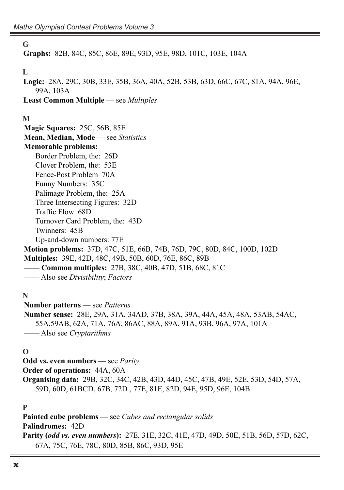#### **G**

**Graphs:** 82B, 84C, 85C, 86E, 89E, 93D, 95E, 98D, 101C, 103E, 104A

#### **L**

**Logic:** 28A, 29C, 30B, 33E, 35B, 36A, 40A, 52B, 53B, 63D, 66C, 67C, 81A, 94A, 96E, 99A, 103A

**Least Common Multiple** — see *Multiples*

### **M**

**Magic Squares:** 25C, 56B, 85E

**Mean, Median, Mode** — see *Statistics*

#### **Memorable problems:**

 Border Problem, the: 26D Clover Problem, the: 53E Fence-Post Problem 70A Funny Numbers: 35C Palimage Problem, the: 25A Three Intersecting Figures: 32D Traffic Flow 68D Turnover Card Problem, the: 43D Twinners: 45B Up-and-down numbers: 77E **Motion problems:** 37D, 47C, 51E, 66B, 74B, 76D, 79C, 80D, 84C, 100D, 102D

**Multiples:** 39E, 42D, 48C, 49B, 50B, 60D, 76E, 86C, 89B

—— **Common multiples:** 27B, 38C, 40B, 47D, 51B, 68C, 81C

—— Also see *Divisibility*; *Factors*

## **N**

**Number patterns** — see *Patterns*

**Number sense:** 28E, 29A, 31A, 34AD, 37B, 38A, 39A, 44A, 45A, 48A, 53AB, 54AC, 55A,59AB, 62A, 71A, 76A, 86AC, 88A, 89A, 91A, 93B, 96A, 97A, 101A —— Also see *Cryptarithms*

## **O**

**Odd vs. even numbers** — see *Parity*

**Order of operations:** 44A, 60A

**Organising data:** 29B, 32C, 34C, 42B, 43D, 44D, 45C, 47B, 49E, 52E, 53D, 54D, 57A, 59D, 60D, 61BCD, 67B, 72D , 77E, 81E, 82D, 94E, 95D, 96E, 104B

### **P**

**Painted cube problems** — see *Cubes and rectangular solids*

**Palindromes:** 42D

**Parity (***odd vs. even numbers***):** 27E, 31E, 32C, 41E, 47D, 49D, 50E, 51B, 56D, 57D, 62C, 67A, 75C, 76E, 78C, 80D, 85B, 86C, 93D, 95E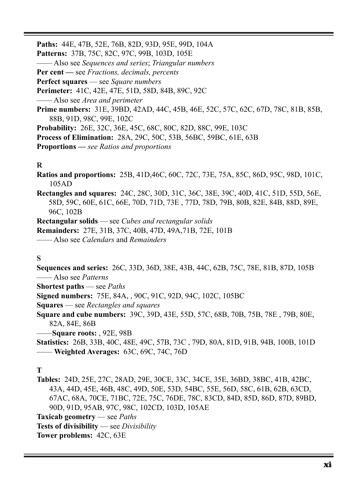**Paths:** 44E, 47B, 52E, 76B, 82D, 93D, 95E, 99D, 104A

**Patterns:** 37B, 75C, 82C, 97C, 99B, 103D, 105E

—— Also see *Sequences and series*; *Triangular numbers*

**Per cent —** see *Fractions, decimals, percents*

- **Perfect squares** see *Square numbers*
- **Perimeter:** 41C, 42E, 47E, 51D, 58D, 84B, 89C, 92C

—— Also see *Area and perimeter*

- **Prime numbers:** 31E, 39BD, 42AD, 44C, 45B, 46E, 52C, 57C, 62C, 67D, 78C, 81B, 85B, 88B, 91D, 98C, 99E, 102C
- **Probability:** 26E, 32C, 36E, 45C, 68C, 80C, 82D, 88C, 99E, 103C
- **Process of Elimination:** 28A, 29C, 50C, 53B, 56BC, 59BC, 61E, 63B

**Proportions —** *see Ratios and proportions*

#### **R**

- **Ratios and proportions:** 25B, 41D,46C, 60C, 72C, 73E, 75A, 85C, 86D, 95C, 98D, 101C, 105AD
- **Rectangles and squares:** 24C, 28C, 30D, 31C, 36C, 38E, 39C, 40D, 41C, 51D, 55D, 56E, 58D, 59C, 60E, 61C, 66E, 70D, 71D, 73E , 77D, 78D, 79B, 80B, 82E, 84B, 88D, 89E, 96C, 102B

**Rectangular solids** — see *Cubes and rectangular solids*

**Remainders:** 27E, 31B, 37C, 40B, 47D, 49A,71B, 72E, 101B

—— Also see *Calendars* and *Remainders*

### **S**

- **Sequences and series:** 26C, 33D, 36D, 38E, 43B, 44C, 62B, 75C, 78E, 81B, 87D, 105B —— Also see *Patterns*
- **Shortest paths**  see *Paths*
- **Signed numbers:** 75E, 84A, , 90C, 91C, 92D, 94C, 102C, 105BC
- **Squares**  see *Rectangles and squares*
- **Square and cube numbers:** 39C, 39D, 43E, 55D, 57C, 68B, 70B, 75B, 78E , 79B, 80E, 82A, 84E, 86B
- ——**Square roots:** , 92E, 98B
- **Statistics:** 26B, 33B, 40C, 48E, 49C, 57B, 73C , 79D, 80A, 81D, 91B, 94B, 100B, 101D —— **Weighted Averages:** 63C, 69C, 74C, 76D

## **T**

**Tables:** 24D, 25E, 27C, 28AD, 29E, 30CE, 33C, 34CE, 35E, 36BD, 38BC, 41B, 42BC, 43A, 44D, 45E, 46B, 48C, 49D, 50E, 53D, 54BC, 55E, 56D, 58C, 61B, 62B, 63CD, 67AC, 68A, 70CE, 71BC, 72E, 75C, 76DE, 78C, 83CD, 84D, 85D, 86D, 87D, 89BD, 90D, 91D, 95AB, 97C, 98C, 102CD, 103D, 105AE

**Taxicab geometry** — see *Paths*

**Tests of divisibility** — see *Divisibility*

**Tower problems:** 42C, 63E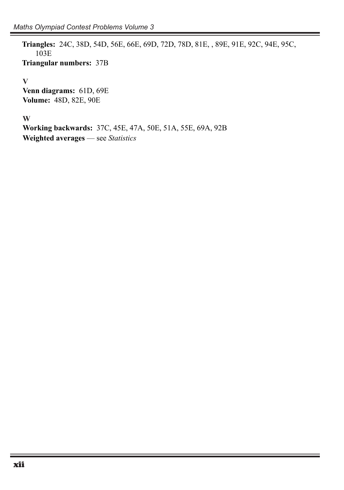**Triangles:** 24C, 38D, 54D, 56E, 66E, 69D, 72D, 78D, 81E, , 89E, 91E, 92C, 94E, 95C, 103E **Triangular numbers:** 37B

**V**

**Venn diagrams:** 61D, 69E **Volume:** 48D, 82E, 90E

**W**

**Working backwards:** 37C, 45E, 47A, 50E, 51A, 55E, 69A, 92B **Weighted averages** — see *Statistics*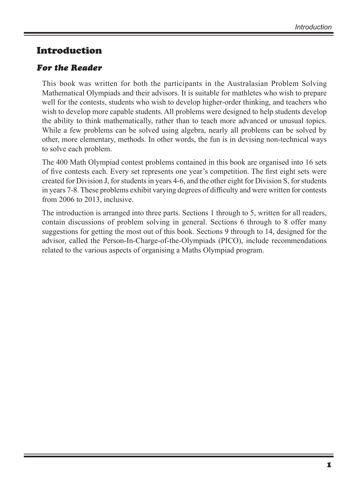# Introduction

# *For the Reader*

This book was written for both the participants in the Australasian Problem Solving Mathematical Olympiads and their advisors. It is suitable for mathletes who wish to prepare well for the contests, students who wish to develop higher-order thinking, and teachers who wish to develop more capable students. All problems were designed to help students develop the ability to think mathematically, rather than to teach more advanced or unusual topics. While a few problems can be solved using algebra, nearly all problems can be solved by other, more elementary, methods. In other words, the fun is in devising non-technical ways to solve each problem.

The 400 Math Olympiad contest problems contained in this book are organised into 16 sets of five contests each. Every set represents one year's competition. The first eight sets were created for Division J, for students in years 4-6, and the other eight for Division S, for students in years 7-8. These problems exhibit varying degrees of difficulty and were written for contests from 2006 to 2013, inclusive.

The introduction is arranged into three parts. Sections 1 through to 5, written for all readers, contain discussions of problem solving in general. Sections 6 through to 8 offer many suggestions for getting the most out of this book. Sections 9 through to 14, designed for the advisor, called the Person-In-Charge-of-the-Olympiads (PICO), include recommendations related to the various aspects of organising a Maths Olympiad program.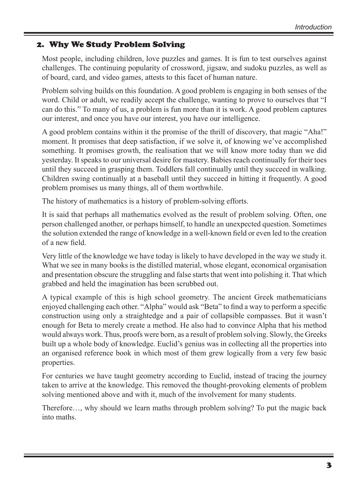# 2. Why We Study Problem Solving

Most people, including children, love puzzles and games. It is fun to test ourselves against challenges. The continuing popularity of crossword, jigsaw, and sudoku puzzles, as well as of board, card, and video games, attests to this facet of human nature.

Problem solving builds on this foundation. A good problem is engaging in both senses of the word. Child or adult, we readily accept the challenge, wanting to prove to ourselves that "I can do this." To many of us, a problem is fun more than it is work. A good problem captures our interest, and once you have our interest, you have our intelligence.

A good problem contains within it the promise of the thrill of discovery, that magic "Aha!" moment. It promises that deep satisfaction, if we solve it, of knowing we've accomplished something. It promises growth, the realisation that we will know more today than we did yesterday. It speaks to our universal desire for mastery. Babies reach continually for their toes until they succeed in grasping them. Toddlers fall continually until they succeed in walking. Children swing continually at a baseball until they succeed in hitting it frequently. A good problem promises us many things, all of them worthwhile.

The history of mathematics is a history of problem-solving efforts.

It is said that perhaps all mathematics evolved as the result of problem solving. Often, one person challenged another, or perhaps himself, to handle an unexpected question. Sometimes the solution extended the range of knowledge in a well-known field or even led to the creation of a new field.

Very little of the knowledge we have today is likely to have developed in the way we study it. What we see in many books is the distilled material, whose elegant, economical organisation and presentation obscure the struggling and false starts that went into polishing it. That which grabbed and held the imagination has been scrubbed out.

A typical example of this is high school geometry. The ancient Greek mathematicians enjoyed challenging each other. "Alpha" would ask "Beta" to find a way to perform a specific construction using only a straightedge and a pair of collapsible compasses. But it wasn't enough for Beta to merely create a method. He also had to convince Alpha that his method would always work. Thus, proofs were born, as a result of problem solving. Slowly, the Greeks built up a whole body of knowledge. Euclid's genius was in collecting all the properties into an organised reference book in which most of them grew logically from a very few basic properties.

For centuries we have taught geometry according to Euclid, instead of tracing the journey taken to arrive at the knowledge. This removed the thought-provoking elements of problem solving mentioned above and with it, much of the involvement for many students.

Therefore…, why should we learn maths through problem solving? To put the magic back into maths.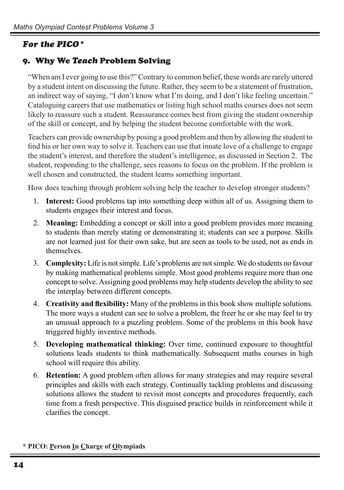# *For the PICO\**

# 9. Why We *Teach* Problem Solving

"When am I ever going to use this?" Contrary to common belief, these words are rarely uttered by a student intent on discussing the future. Rather, they seem to be a statement of frustration, an indirect way of saying, "I don't know what I'm doing, and I don't like feeling uncertain." Cataloguing careers that use mathematics or listing high school maths courses does not seem likely to reassure such a student. Reassurance comes best from giving the student ownership of the skill or concept, and by helping the student become comfortable with the work.

Teachers can provide ownership by posing a good problem and then by allowing the student to find his or her own way to solve it. Teachers can use that innate love of a challenge to engage the student's interest, and therefore the student's intelligence, as discussed in Section 2. The student, responding to the challenge, sees reasons to focus on the problem. If the problem is well chosen and constructed, the student learns something important.

How does teaching through problem solving help the teacher to develop stronger students?

- 1. **Interest:** Good problems tap into something deep within all of us. Assigning them to students engages their interest and focus.
- 2. **Meaning:** Embedding a concept or skill into a good problem provides more meaning to students than merely stating or demonstrating it; students can see a purpose. Skills are not learned just for their own sake, but are seen as tools to be used, not as ends in themselves.
- 3. **Complexity:** Life is not simple. Life's problems are not simple. We do students no favour by making mathematical problems simple. Most good problems require more than one concept to solve. Assigning good problems may help students develop the ability to see the interplay between different concepts.
- 4. **Creativity and flexibility:** Many of the problems in this book show multiple solutions. The more ways a student can see to solve a problem, the freer he or she may feel to try an unusual approach to a puzzling problem. Some of the problems in this book have triggered highly inventive methods.
- 5. **Developing mathematical thinking:** Over time, continued exposure to thoughtful solutions leads students to think mathematically. Subsequent maths courses in high school will require this ability.
- 6. **Retention:** A good problem often allows for many strategies and may require several principles and skills with each strategy. Continually tackling problems and discussing solutions allows the student to revisit most concepts and procedures frequently, each time from a fresh perspective. This disguised practice builds in reinforcement while it clarifies the concept.

## **\* PICO: Person In Charge of Olympiads**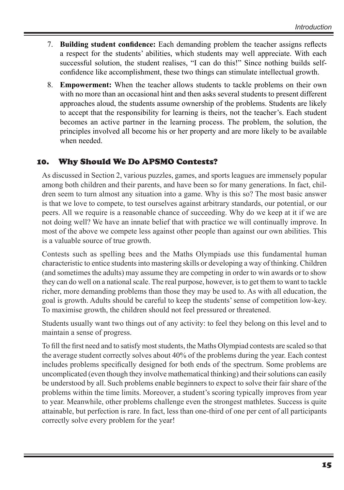- 7. **Building student confidence:** Each demanding problem the teacher assigns reflects a respect for the students' abilities, which students may well appreciate. With each successful solution, the student realises, "I can do this!" Since nothing builds selfconfidence like accomplishment, these two things can stimulate intellectual growth.
- 8. **Empowerment:** When the teacher allows students to tackle problems on their own with no more than an occasional hint and then asks several students to present different approaches aloud, the students assume ownership of the problems. Students are likely to accept that the responsibility for learning is theirs, not the teacher's. Each student becomes an active partner in the learning process. The problem, the solution, the principles involved all become his or her property and are more likely to be available when needed.

# 10. Why Should We Do APSMO Contests?

As discussed in Section 2, various puzzles, games, and sports leagues are immensely popular among both children and their parents, and have been so for many generations. In fact, children seem to turn almost any situation into a game. Why is this so? The most basic answer is that we love to compete, to test ourselves against arbitrary standards, our potential, or our peers. All we require is a reasonable chance of succeeding. Why do we keep at it if we are not doing well? We have an innate belief that with practice we will continually improve. In most of the above we compete less against other people than against our own abilities. This is a valuable source of true growth.

Contests such as spelling bees and the Maths Olympiads use this fundamental human characteristic to entice students into mastering skills or developing a way of thinking. Children (and sometimes the adults) may assume they are competing in order to win awards or to show they can do well on a national scale. The real purpose, however, is to get them to want to tackle richer, more demanding problems than those they may be used to. As with all education, the goal is growth. Adults should be careful to keep the students' sense of competition low-key. To maximise growth, the children should not feel pressured or threatened.

Students usually want two things out of any activity: to feel they belong on this level and to maintain a sense of progress.

To fill the first need and to satisfy most students, the Maths Olympiad contests are scaled so that the average student correctly solves about 40% of the problems during the year. Each contest includes problems specifically designed for both ends of the spectrum. Some problems are uncomplicated (even though they involve mathematical thinking) and their solutions can easily be understood by all. Such problems enable beginners to expect to solve their fair share of the problems within the time limits. Moreover, a student's scoring typically improves from year to year. Meanwhile, other problems challenge even the strongest mathletes. Success is quite attainable, but perfection is rare. In fact, less than one-third of one per cent of all participants correctly solve every problem for the year!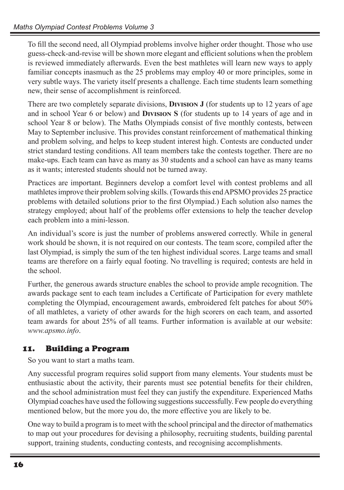To fill the second need, all Olympiad problems involve higher order thought. Those who use guess-check-and-revise will be shown more elegant and efficient solutions when the problem is reviewed immediately afterwards. Even the best mathletes will learn new ways to apply familiar concepts inasmuch as the 25 problems may employ 40 or more principles, some in very subtle ways. The variety itself presents a challenge. Each time students learn something new, their sense of accomplishment is reinforced.

There are two completely separate divisions, **Division J** (for students up to 12 years of age and in school Year 6 or below) and **Division S** (for students up to 14 years of age and in school Year 8 or below). The Maths Olympiads consist of five monthly contests, between May to September inclusive. This provides constant reinforcement of mathematical thinking and problem solving, and helps to keep student interest high. Contests are conducted under strict standard testing conditions. All team members take the contests together. There are no make-ups. Each team can have as many as 30 students and a school can have as many teams as it wants; interested students should not be turned away.

Practices are important. Beginners develop a comfort level with contest problems and all mathletes improve their problem solving skills. (Towards this end APSMO provides 25 practice problems with detailed solutions prior to the first Olympiad.) Each solution also names the strategy employed; about half of the problems offer extensions to help the teacher develop each problem into a mini-lesson.

An individual's score is just the number of problems answered correctly. While in general work should be shown, it is not required on our contests. The team score, compiled after the last Olympiad, is simply the sum of the ten highest individual scores. Large teams and small teams are therefore on a fairly equal footing. No travelling is required; contests are held in the school.

Further, the generous awards structure enables the school to provide ample recognition. The awards package sent to each team includes a Certificate of Participation for every mathlete completing the Olympiad, encouragement awards, embroidered felt patches for about 50% of all mathletes, a variety of other awards for the high scorers on each team, and assorted team awards for about 25% of all teams. Further information is available at our website: *www.apsmo.info*.

# 11. Building a Program

So you want to start a maths team.

Any successful program requires solid support from many elements. Your students must be enthusiastic about the activity, their parents must see potential benefits for their children, and the school administration must feel they can justify the expenditure. Experienced Maths Olympiad coaches have used the following suggestions successfully. Few people do everything mentioned below, but the more you do, the more effective you are likely to be.

One way to build a program is to meet with the school principal and the director of mathematics to map out your procedures for devising a philosophy, recruiting students, building parental support, training students, conducting contests, and recognising accomplishments.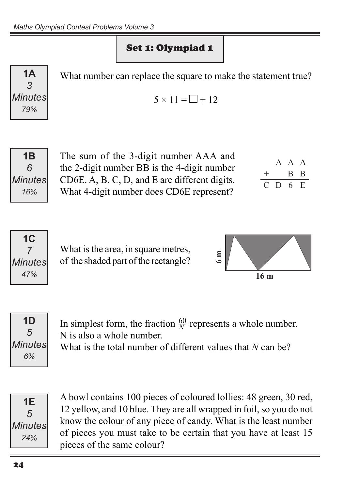# Set 1: Olympiad 1



What number can replace the square to make the statement true?

$$
5 \times 11 = \square + 12
$$



| The sum of the 3-digit number AAA and            |           |     |  |
|--------------------------------------------------|-----------|-----|--|
| the 2-digit number BB is the 4-digit number      | A A A     |     |  |
| $CD6E$ . A, B, C, D, and E are different digits. |           | B B |  |
| What 4-digit number does CD6E represent?         | $C$ D 6 E |     |  |





In simplest form, the fraction  $\frac{60}{N}$  represents a whole number. N is also a whole number. What is the total number of different values that *N* can be?



A bowl contains 100 pieces of coloured lollies: 48 green, 30 red, 12 yellow, and 10 blue. They are all wrapped in foil, so you do not know the colour of any piece of candy. What is the least number of pieces you must take to be certain that you have at least 15 pieces of the same colour?